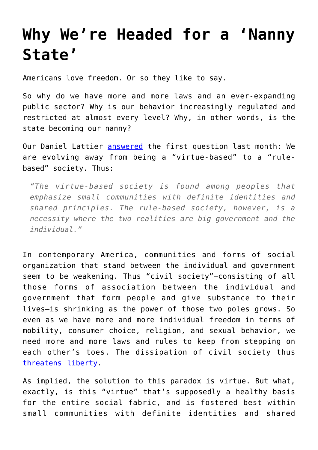## **[Why We're Headed for a 'Nanny](https://intellectualtakeout.org/2016/03/why-were-headed-for-a-nanny-state/) [State'](https://intellectualtakeout.org/2016/03/why-were-headed-for-a-nanny-state/)**

Americans love freedom. Or so they like to say.

So why do we have more and more laws and an ever-expanding public sector? Why is our behavior increasingly regulated and restricted at almost every level? Why, in other words, is the state becoming our nanny?

Our Daniel Lattier [answered](https://www.intellectualtakeout.org/blog/why-america-has-so-many-laws) the first question last month: We are evolving away from being a "virtue-based" to a "rulebased" society. Thus:

*"The virtue-based society is found among peoples that emphasize small communities with definite identities and shared principles. The rule-based society, however, is a necessity where the two realities are big government and the individual."*

In contemporary America, communities and forms of social organization that stand between the individual and government seem to be weakening. Thus "civil society"—consisting of all those forms of association between the individual and government that form people and give substance to their lives—is shrinking as the power of those two poles grows. So even as we have more and more individual freedom in terms of mobility, consumer choice, religion, and sexual behavior, we need more and more laws and rules to keep from stepping on each other's toes. The dissipation of civil society thus [threatens liberty.](https://www.intellectualtakeout.org/blog/liberty-depends-civil-society)

As implied, the solution to this paradox is virtue. But what, exactly, is this "virtue" that's supposedly a healthy basis for the entire social fabric, and is fostered best within small communities with definite identities and shared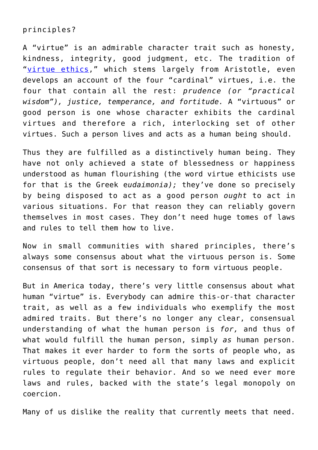## principles?

A "virtue" is an admirable character trait such as honesty, kindness, integrity, good judgment, etc. The tradition of "[virtue ethics](http://plato.stanford.edu/entries/ethics-virtue/)," which stems largely from Aristotle, even develops an account of the four "cardinal" virtues, i.e. the four that contain all the rest: *prudence (or "practical wisdom"), justice, temperance, and fortitude.* A "virtuous" or good person is one whose character exhibits the cardinal virtues and therefore a rich, interlocking set of other virtues. Such a person lives and acts as a human being should.

Thus they are fulfilled as a distinctively human being. They have not only achieved a state of blessedness or happiness understood as human flourishing (the word virtue ethicists use for that is the Greek e*udaimonia);* they've done so precisely by being disposed to act as a good person *ought* to act in various situations. For that reason they can reliably govern themselves in most cases. They don't need huge tomes of laws and rules to tell them how to live.

Now in small communities with shared principles, there's always some consensus about what the virtuous person is. Some consensus of that sort is necessary to form virtuous people.

But in America today, there's very little consensus about what human "virtue" is. Everybody can admire this-or-that character trait, as well as a few individuals who exemplify the most admired traits. But there's no longer any clear, consensual understanding of what the human person is *for,* and thus of what would fulfill the human person, simply *as* human person. That makes it ever harder to form the sorts of people who, as virtuous people, don't need all that many laws and explicit rules to regulate their behavior. And so we need ever more laws and rules, backed with the state's legal monopoly on coercion.

Many of us dislike the reality that currently meets that need.